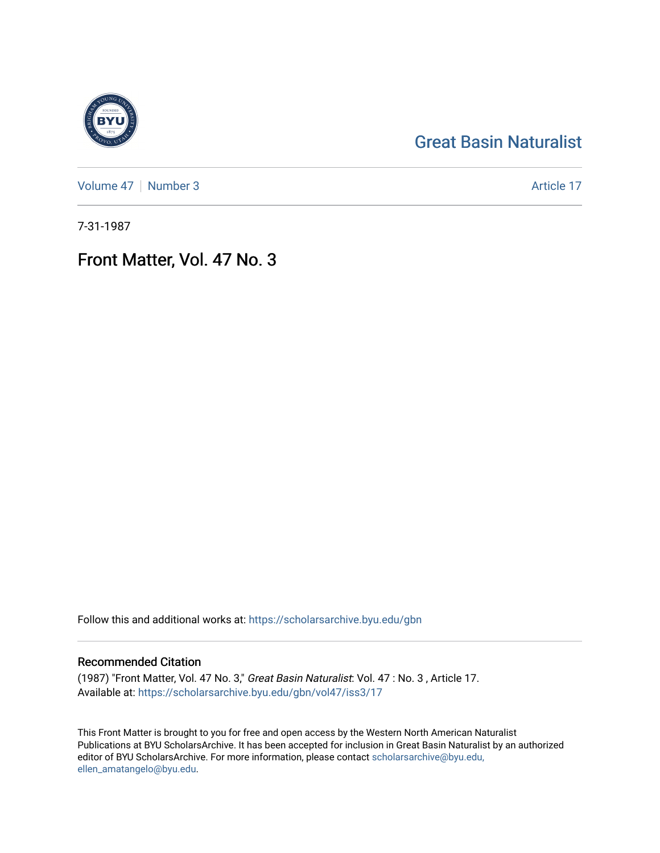## [Great Basin Naturalist](https://scholarsarchive.byu.edu/gbn)

[Volume 47](https://scholarsarchive.byu.edu/gbn/vol47) | [Number 3](https://scholarsarchive.byu.edu/gbn/vol47/iss3) Article 17

7-31-1987

## Front Matter, Vol. 47 No. 3

Follow this and additional works at: [https://scholarsarchive.byu.edu/gbn](https://scholarsarchive.byu.edu/gbn?utm_source=scholarsarchive.byu.edu%2Fgbn%2Fvol47%2Fiss3%2F17&utm_medium=PDF&utm_campaign=PDFCoverPages) 

### Recommended Citation

(1987) "Front Matter, Vol. 47 No. 3," Great Basin Naturalist: Vol. 47 : No. 3 , Article 17. Available at: [https://scholarsarchive.byu.edu/gbn/vol47/iss3/17](https://scholarsarchive.byu.edu/gbn/vol47/iss3/17?utm_source=scholarsarchive.byu.edu%2Fgbn%2Fvol47%2Fiss3%2F17&utm_medium=PDF&utm_campaign=PDFCoverPages) 

This Front Matter is brought to you for free and open access by the Western North American Naturalist Publications at BYU ScholarsArchive. It has been accepted for inclusion in Great Basin Naturalist by an authorized editor of BYU ScholarsArchive. For more information, please contact [scholarsarchive@byu.edu,](mailto:scholarsarchive@byu.edu,%20ellen_amatangelo@byu.edu) [ellen\\_amatangelo@byu.edu](mailto:scholarsarchive@byu.edu,%20ellen_amatangelo@byu.edu).

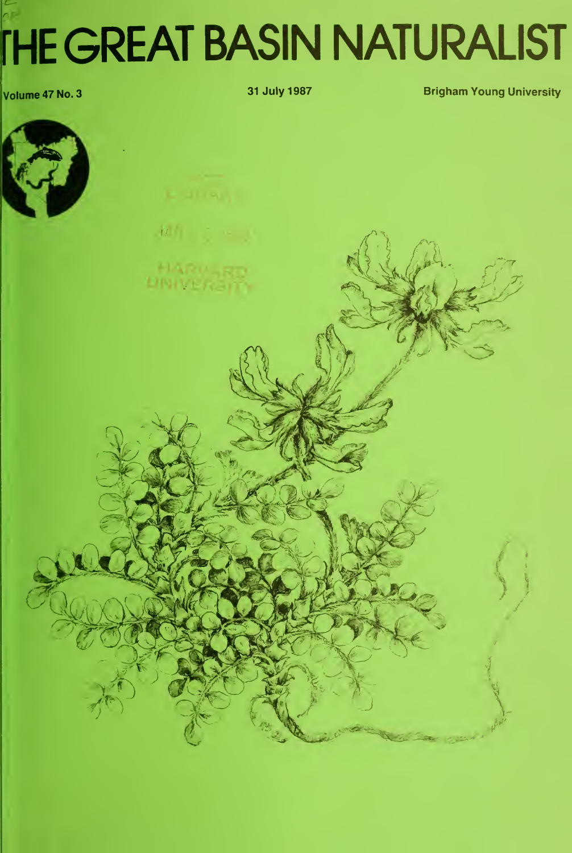# $n_{\rm F}$ rHE GREAT BASIN NATURALIST

volume 47 No. 3 31 July 1987 **Brigham Young University**